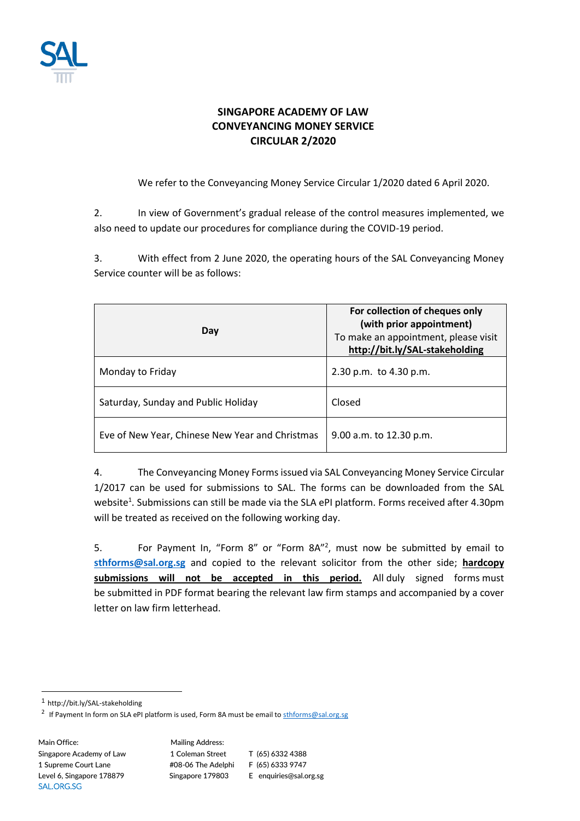

## **SINGAPORE ACADEMY OF LAW CONVEYANCING MONEY SERVICE CIRCULAR 2/2020**

We refer to the Conveyancing Money Service Circular 1/2020 dated 6 April 2020.

2. In view of Government's gradual release of the control measures implemented, we also need to update our procedures for compliance during the COVID-19 period.

3. With effect from 2 June 2020, the operating hours of the SAL Conveyancing Money Service counter will be as follows:

| Day                                             | For collection of cheques only<br>(with prior appointment)<br>To make an appointment, please visit<br>http://bit.ly/SAL-stakeholding |  |
|-------------------------------------------------|--------------------------------------------------------------------------------------------------------------------------------------|--|
| Monday to Friday                                | 2.30 p.m. to 4.30 p.m.                                                                                                               |  |
| Saturday, Sunday and Public Holiday             | Closed                                                                                                                               |  |
| Eve of New Year, Chinese New Year and Christmas | 9.00 a.m. to 12.30 p.m.                                                                                                              |  |

4. The Conveyancing Money Forms issued via SAL Conveyancing Money Service Circular 1/2017 can be used for submissions to SAL. The forms can be downloaded from the SAL website<sup>1</sup>. Submissions can still be made via the SLA ePI platform. Forms received after 4.30pm will be treated as received on the following working day.

5. For Payment In, "Form  $8''$  or "Form  $8A''^2$ , must now be submitted by email to **[sthforms@sal.org.sg](mailto:sthforms@sal.org.sg)** and copied to the relevant solicitor from the other side; **hardcopy submissions will not be accepted in this period.** All duly signed forms must be submitted in PDF format bearing the relevant law firm stamps and accompanied by a cover letter on law firm letterhead.

Main Office: Mailing Address: SAL.ORG.SG

Singapore Academy of Law 1 Coleman Street T (65) 6332 4388 1 Supreme Court Lane #08-06 The Adelphi F (65) 6333 9747 Level 6, Singapore 178879 Singapore 179803 E enquiries@sal.org.sg

<sup>1</sup> http://bit.ly/SAL-stakeholding

<sup>&</sup>lt;sup>2</sup> If Payment In form on SLA ePI platform is used, Form 8A must be email to [sthforms@sal.org.sg](mailto:sthforms@sal.org.sg)